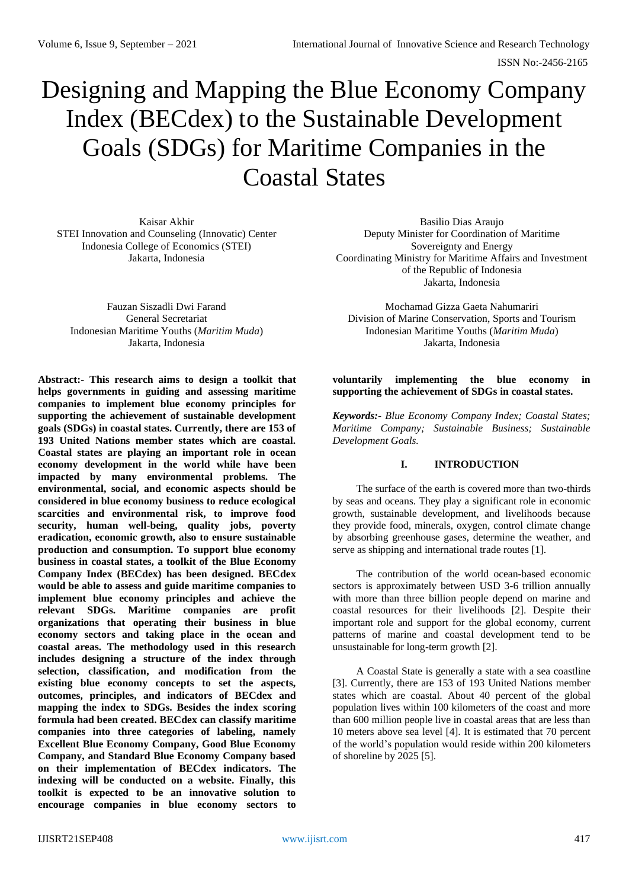# Designing and Mapping the Blue Economy Company Index (BECdex) to the Sustainable Development Goals (SDGs) for Maritime Companies in the Coastal States

Kaisar Akhir STEI Innovation and Counseling (Innovatic) Center Indonesia College of Economics (STEI) Jakarta, Indonesia

Fauzan Siszadli Dwi Farand General Secretariat Indonesian Maritime Youths (*Maritim Muda*) Jakarta, Indonesia

**Abstract:- This research aims to design a toolkit that helps governments in guiding and assessing maritime companies to implement blue economy principles for supporting the achievement of sustainable development goals (SDGs) in coastal states. Currently, there are 153 of 193 United Nations member states which are coastal. Coastal states are playing an important role in ocean economy development in the world while have been impacted by many environmental problems. The environmental, social, and economic aspects should be considered in blue economy business to reduce ecological scarcities and environmental risk, to improve food security, human well-being, quality jobs, poverty eradication, economic growth, also to ensure sustainable production and consumption. To support blue economy business in coastal states, a toolkit of the Blue Economy Company Index (BECdex) has been designed. BECdex would be able to assess and guide maritime companies to implement blue economy principles and achieve the relevant SDGs. Maritime companies are profit organizations that operating their business in blue economy sectors and taking place in the ocean and coastal areas. The methodology used in this research includes designing a structure of the index through selection, classification, and modification from the existing blue economy concepts to set the aspects, outcomes, principles, and indicators of BECdex and mapping the index to SDGs. Besides the index scoring formula had been created. BECdex can classify maritime companies into three categories of labeling, namely Excellent Blue Economy Company, Good Blue Economy Company, and Standard Blue Economy Company based on their implementation of BECdex indicators. The indexing will be conducted on a website. Finally, this toolkit is expected to be an innovative solution to encourage companies in blue economy sectors to**

Basilio Dias Araujo Deputy Minister for Coordination of Maritime Sovereignty and Energy Coordinating Ministry for Maritime Affairs and Investment of the Republic of Indonesia Jakarta, Indonesia

Mochamad Gizza Gaeta Nahumariri Division of Marine Conservation, Sports and Tourism Indonesian Maritime Youths (*Maritim Muda*) Jakarta, Indonesia

#### **voluntarily implementing the blue economy in supporting the achievement of SDGs in coastal states.**

*Keywords:- Blue Economy Company Index; Coastal States; Maritime Company; Sustainable Business; Sustainable Development Goals.*

# **I. INTRODUCTION**

The surface of the earth is covered more than two-thirds by seas and oceans. They play a significant role in economic growth, sustainable development, and livelihoods because they provide food, minerals, oxygen, control climate change by absorbing greenhouse gases, determine the weather, and serve as shipping and international trade routes [1].

The contribution of the world ocean-based economic sectors is approximately between USD 3-6 trillion annually with more than three billion people depend on marine and coastal resources for their livelihoods [2]. Despite their important role and support for the global economy, current patterns of marine and coastal development tend to be unsustainable for long-term growth [2].

A Coastal State is generally a state with a sea coastline [3]. Currently, there are 153 of 193 United Nations member states which are coastal. About 40 percent of the global population lives within 100 kilometers of the coast and more than 600 million people live in coastal areas that are less than 10 meters above sea level [4]. It is estimated that 70 percent of the world's population would reside within 200 kilometers of shoreline by 2025 [5].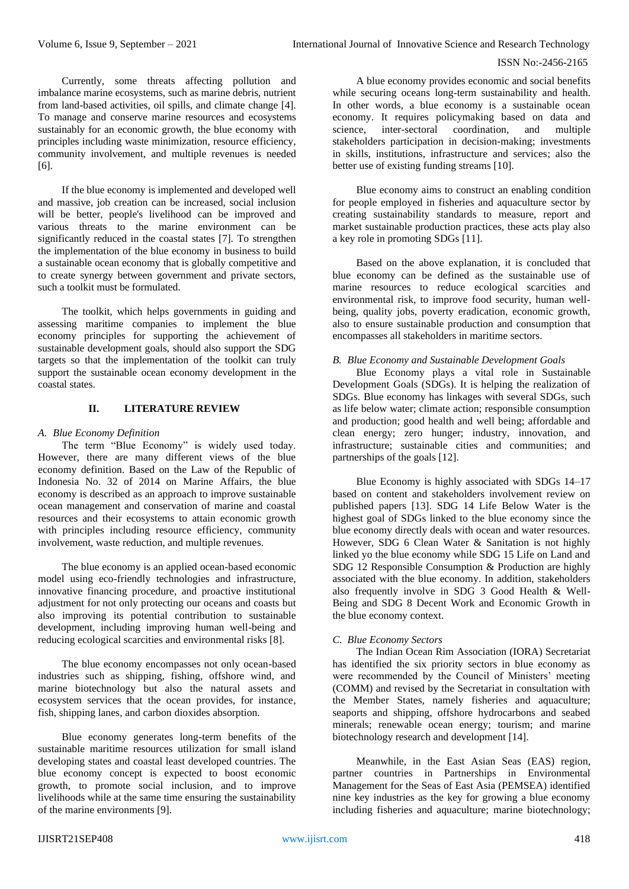Currently, some threats affecting pollution and imbalance marine ecosystems, such as marine debris, nutrient from land-based activities, oil spills, and climate change [4]. To manage and conserve marine resources and ecosystems sustainably for an economic growth, the blue economy with principles including waste minimization, resource efficiency, community involvement, and multiple revenues is needed [6].

If the blue economy is implemented and developed well and massive, job creation can be increased, social inclusion will be better, people's livelihood can be improved and various threats to the marine environment can be significantly reduced in the coastal states [7]. To strengthen the implementation of the blue economy in business to build a sustainable ocean economy that is globally competitive and to create synergy between government and private sectors, such a toolkit must be formulated.

The toolkit, which helps governments in guiding and assessing maritime companies to implement the blue economy principles for supporting the achievement of sustainable development goals, should also support the SDG targets so that the implementation of the toolkit can truly support the sustainable ocean economy development in the coastal states.

## **II. LITERATURE REVIEW**

## *A. Blue Economy Definition*

The term "Blue Economy" is widely used today. However, there are many different views of the blue economy definition. Based on the Law of the Republic of Indonesia No. 32 of 2014 on Marine Affairs, the blue economy is described as an approach to improve sustainable ocean management and conservation of marine and coastal resources and their ecosystems to attain economic growth with principles including resource efficiency, community involvement, waste reduction, and multiple revenues.

The blue economy is an applied ocean-based economic model using eco-friendly technologies and infrastructure, innovative financing procedure, and proactive institutional adjustment for not only protecting our oceans and coasts but also improving its potential contribution to sustainable development, including improving human well-being and reducing ecological scarcities and environmental risks [8].

The blue economy encompasses not only ocean-based industries such as shipping, fishing, offshore wind, and marine biotechnology but also the natural assets and ecosystem services that the ocean provides, for instance, fish, shipping lanes, and carbon dioxides absorption.

Blue economy generates long-term benefits of the sustainable maritime resources utilization for small island developing states and coastal least developed countries. The blue economy concept is expected to boost economic growth, to promote social inclusion, and to improve livelihoods while at the same time ensuring the sustainability of the marine environments [9].

A blue economy provides economic and social benefits while securing oceans long-term sustainability and health. In other words, a blue economy is a sustainable ocean economy. It requires policymaking based on data and science, inter-sectoral coordination, and multiple stakeholders participation in decision-making; investments in skills, institutions, infrastructure and services; also the better use of existing funding streams [10].

Blue economy aims to construct an enabling condition for people employed in fisheries and aquaculture sector by creating sustainability standards to measure, report and market sustainable production practices, these acts play also a key role in promoting SDGs [11].

Based on the above explanation, it is concluded that blue economy can be defined as the sustainable use of marine resources to reduce ecological scarcities and environmental risk, to improve food security, human wellbeing, quality jobs, poverty eradication, economic growth, also to ensure sustainable production and consumption that encompasses all stakeholders in maritime sectors.

## *B. Blue Economy and Sustainable Development Goals*

Blue Economy plays a vital role in Sustainable Development Goals (SDGs). It is helping the realization of SDGs. Blue economy has linkages with several SDGs, such as life below water; climate action; responsible consumption and production; good health and well being; affordable and clean energy; zero hunger; industry, innovation, and infrastructure; sustainable cities and communities; and partnerships of the goals [12].

Blue Economy is highly associated with SDGs 14–17 based on content and stakeholders involvement review on published papers [13]. SDG 14 Life Below Water is the highest goal of SDGs linked to the blue economy since the blue economy directly deals with ocean and water resources. However, SDG 6 Clean Water & Sanitation is not highly linked yo the blue economy while SDG 15 Life on Land and SDG 12 Responsible Consumption & Production are highly associated with the blue economy. In addition, stakeholders also frequently involve in SDG 3 Good Health & Well-Being and SDG 8 Decent Work and Economic Growth in the blue economy context.

## *C. Blue Economy Sectors*

The Indian Ocean Rim Association (IORA) Secretariat has identified the six priority sectors in blue economy as were recommended by the Council of Ministers' meeting (COMM) and revised by the Secretariat in consultation with the Member States, namely fisheries and aquaculture; seaports and shipping, offshore hydrocarbons and seabed minerals; renewable ocean energy; tourism; and marine biotechnology research and development [14].

Meanwhile, in the East Asian Seas (EAS) region, partner countries in Partnerships in Environmental Management for the Seas of East Asia (PEMSEA) identified nine key industries as the key for growing a blue economy including fisheries and aquaculture; marine biotechnology;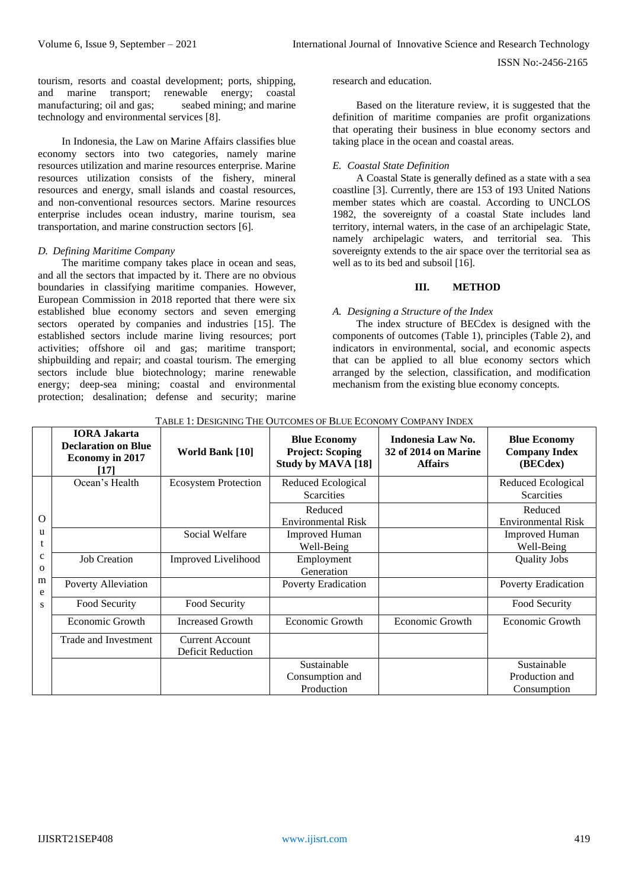tourism, resorts and coastal development; ports, shipping, and marine transport; renewable energy; coastal manufacturing; oil and gas; seabed mining; and marine technology and environmental services [8].

In Indonesia, the Law on Marine Affairs classifies blue economy sectors into two categories, namely marine resources utilization and marine resources enterprise. Marine resources utilization consists of the fishery, mineral resources and energy, small islands and coastal resources, and non-conventional resources sectors. Marine resources enterprise includes ocean industry, marine tourism, sea transportation, and marine construction sectors [6].

#### *D. Defining Maritime Company*

The maritime company takes place in ocean and seas, and all the sectors that impacted by it. There are no obvious boundaries in classifying maritime companies. However, European Commission in 2018 reported that there were six established blue economy sectors and seven emerging sectors operated by companies and industries [15]. The established sectors include marine living resources; port activities; offshore oil and gas; maritime transport; shipbuilding and repair; and coastal tourism. The emerging sectors include blue biotechnology; marine renewable energy; deep-sea mining; coastal and environmental protection; desalination; defense and security; marine research and education.

Based on the literature review, it is suggested that the definition of maritime companies are profit organizations that operating their business in blue economy sectors and taking place in the ocean and coastal areas.

#### *E. Coastal State Definition*

A Coastal State is generally defined as a state with a sea coastline [3]. Currently, there are 153 of 193 United Nations member states which are coastal. According to UNCLOS 1982, the sovereignty of a coastal State includes land territory, internal waters, in the case of an archipelagic State, namely archipelagic waters, and territorial sea. This sovereignty extends to the air space over the territorial sea as well as to its bed and subsoil [16].

#### **III. METHOD**

#### *A. Designing a Structure of the Index*

The index structure of BECdex is designed with the components of outcomes (Table 1), principles (Table 2), and indicators in environmental, social, and economic aspects that can be applied to all blue economy sectors which arranged by the selection, classification, and modification mechanism from the existing blue economy concepts.

|             | <b>IORA Jakarta</b><br><b>Declaration on Blue</b><br><b>Economy in 2017</b><br>[17] | <b>World Bank</b> [10]                             | <b>Blue Economy</b><br><b>Project: Scoping</b><br>Study by MAVA [18] | Indonesia Law No.<br><b>32 of 2014 on Marine</b><br><b>Affairs</b> | <b>Blue Economy</b><br><b>Company Index</b><br>(BECdex) |
|-------------|-------------------------------------------------------------------------------------|----------------------------------------------------|----------------------------------------------------------------------|--------------------------------------------------------------------|---------------------------------------------------------|
|             | Ocean's Health                                                                      | <b>Ecosystem Protection</b>                        | Reduced Ecological                                                   |                                                                    | Reduced Ecological                                      |
|             |                                                                                     |                                                    | <b>Scarcities</b>                                                    |                                                                    | <b>Scarcities</b>                                       |
|             |                                                                                     |                                                    | Reduced                                                              |                                                                    | Reduced                                                 |
| $\Omega$    |                                                                                     |                                                    | <b>Environmental Risk</b>                                            |                                                                    | <b>Environmental Risk</b>                               |
| u           |                                                                                     | Social Welfare                                     | <b>Improved Human</b>                                                |                                                                    | <b>Improved Human</b>                                   |
|             |                                                                                     |                                                    | Well-Being                                                           |                                                                    | Well-Being                                              |
| $\mathbf c$ | <b>Job Creation</b>                                                                 | Improved Livelihood                                | Employment                                                           |                                                                    | <b>Quality Jobs</b>                                     |
| $\Omega$    |                                                                                     |                                                    | Generation                                                           |                                                                    |                                                         |
| m<br>e      | Poverty Alleviation                                                                 |                                                    | <b>Poverty Eradication</b>                                           |                                                                    | <b>Poverty Eradication</b>                              |
| S           | Food Security                                                                       | Food Security                                      |                                                                      |                                                                    | Food Security                                           |
|             | Economic Growth                                                                     | <b>Increased Growth</b>                            | <b>Economic Growth</b>                                               | Economic Growth                                                    | Economic Growth                                         |
|             | Trade and Investment                                                                | <b>Current Account</b><br><b>Deficit Reduction</b> |                                                                      |                                                                    |                                                         |
|             |                                                                                     |                                                    | Sustainable                                                          |                                                                    | Sustainable                                             |
|             |                                                                                     |                                                    | Consumption and                                                      |                                                                    | Production and                                          |
|             |                                                                                     |                                                    | Production                                                           |                                                                    | Consumption                                             |

TABLE 1: DESIGNING THE OUTCOMES OF BLUE ECONOMY COMPANY INDEX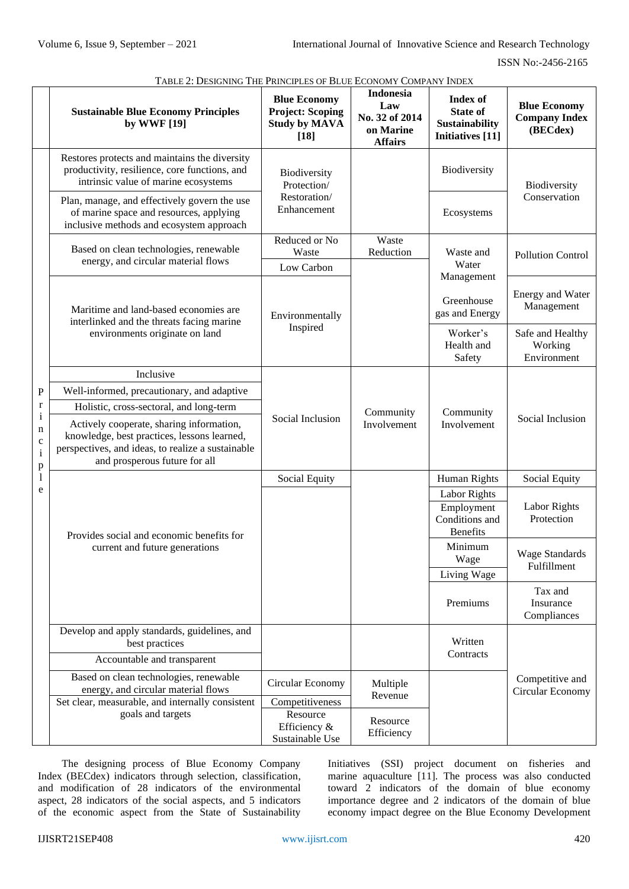|                                                                                 | <b>LABLE 2. DESIGNING THE LAINCH LES OF BLUE LCONOMIT COMITANT INDEX</b><br><b>Sustainable Blue Economy Principles</b><br>by WWF [19]                                                                                    | <b>Blue Economy</b><br><b>Project: Scoping</b><br><b>Study by MAVA</b><br>$[18]$ | <b>Indonesia</b><br>Law<br>No. 32 of 2014<br>on Marine<br><b>Affairs</b> | <b>Index of</b><br><b>State of</b><br>Sustainability<br><b>Initiatives</b> [11] | <b>Blue Economy</b><br><b>Company Index</b><br>(BECdex) |
|---------------------------------------------------------------------------------|--------------------------------------------------------------------------------------------------------------------------------------------------------------------------------------------------------------------------|----------------------------------------------------------------------------------|--------------------------------------------------------------------------|---------------------------------------------------------------------------------|---------------------------------------------------------|
|                                                                                 | Restores protects and maintains the diversity<br>productivity, resilience, core functions, and<br>intrinsic value of marine ecosystems                                                                                   | Biodiversity<br>Protection/                                                      |                                                                          | Biodiversity                                                                    | Biodiversity                                            |
|                                                                                 | Plan, manage, and effectively govern the use<br>of marine space and resources, applying<br>inclusive methods and ecosystem approach                                                                                      | Restoration/<br>Enhancement                                                      |                                                                          | Ecosystems                                                                      | Conservation                                            |
|                                                                                 | Based on clean technologies, renewable                                                                                                                                                                                   | Reduced or No<br>Waste                                                           | Waste<br>Reduction                                                       | Waste and<br>Water<br>Management                                                | <b>Pollution Control</b>                                |
|                                                                                 | energy, and circular material flows                                                                                                                                                                                      | Low Carbon                                                                       |                                                                          |                                                                                 |                                                         |
|                                                                                 | Maritime and land-based economies are<br>interlinked and the threats facing marine<br>environments originate on land                                                                                                     | Environmentally                                                                  |                                                                          | Greenhouse<br>gas and Energy                                                    | <b>Energy and Water</b><br>Management                   |
|                                                                                 |                                                                                                                                                                                                                          | Inspired                                                                         |                                                                          | Worker's<br>Health and<br>Safety                                                | Safe and Healthy<br>Working<br>Environment              |
|                                                                                 | Inclusive                                                                                                                                                                                                                |                                                                                  | Community<br>Involvement                                                 | Community<br>Involvement                                                        | Social Inclusion                                        |
| $\mathbf P$                                                                     | Well-informed, precautionary, and adaptive                                                                                                                                                                               |                                                                                  |                                                                          |                                                                                 |                                                         |
| $\mathbf r$<br>$\mathbf{i}$<br>n<br>$\mathbf c$<br>$\mathbf{i}$<br>$\, {\bf p}$ | Holistic, cross-sectoral, and long-term<br>Actively cooperate, sharing information,<br>knowledge, best practices, lessons learned,<br>perspectives, and ideas, to realize a sustainable<br>and prosperous future for all | Social Inclusion                                                                 |                                                                          |                                                                                 |                                                         |
| $\mathbf{l}$                                                                    | Provides social and economic benefits for<br>current and future generations                                                                                                                                              | Social Equity                                                                    |                                                                          | Human Rights                                                                    | Social Equity                                           |
| e                                                                               |                                                                                                                                                                                                                          |                                                                                  |                                                                          | Labor Rights                                                                    |                                                         |
|                                                                                 |                                                                                                                                                                                                                          |                                                                                  |                                                                          | Employment<br>Conditions and<br><b>Benefits</b>                                 | Labor Rights<br>Protection                              |
|                                                                                 |                                                                                                                                                                                                                          |                                                                                  |                                                                          | Minimum<br>Wage<br>Living Wage                                                  | <b>Wage Standards</b><br>Fulfillment                    |
|                                                                                 |                                                                                                                                                                                                                          |                                                                                  |                                                                          | Premiums                                                                        | Tax and<br>Insurance<br>Compliances                     |
|                                                                                 | Develop and apply standards, guidelines, and<br>best practices                                                                                                                                                           |                                                                                  |                                                                          | Written                                                                         |                                                         |
|                                                                                 | Accountable and transparent                                                                                                                                                                                              |                                                                                  |                                                                          | Contracts                                                                       |                                                         |
|                                                                                 | Based on clean technologies, renewable<br>energy, and circular material flows                                                                                                                                            | Circular Economy                                                                 | Multiple<br>Revenue                                                      |                                                                                 | Competitive and<br>Circular Economy                     |
|                                                                                 | Set clear, measurable, and internally consistent<br>goals and targets                                                                                                                                                    | Competitiveness<br>Resource                                                      |                                                                          |                                                                                 |                                                         |
|                                                                                 |                                                                                                                                                                                                                          | Efficiency &<br>Sustainable Use                                                  | Resource<br>Efficiency                                                   |                                                                                 |                                                         |

TABLE 2: DESIGNING THE PRINCIPLES OF BLUE ECONOMY COMPANY INDEX

The designing process of Blue Economy Company Index (BECdex) indicators through selection, classification, and modification of 28 indicators of the environmental aspect, 28 indicators of the social aspects, and 5 indicators of the economic aspect from the State of Sustainability

Initiatives (SSI) project document on fisheries and marine aquaculture [11]. The process was also conducted toward 2 indicators of the domain of blue economy importance degree and 2 indicators of the domain of blue economy impact degree on the Blue Economy Development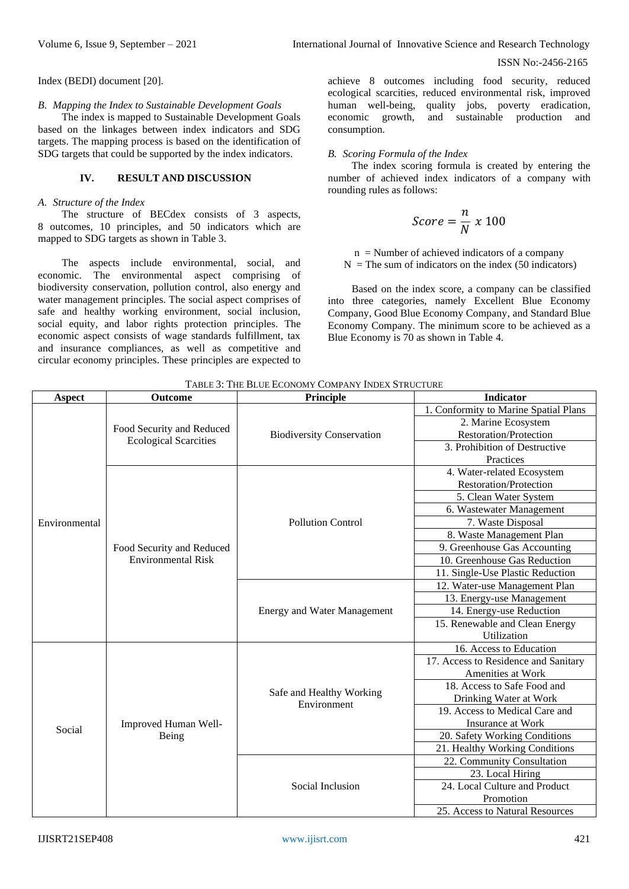Index (BEDI) document [20].

#### *B. Mapping the Index to Sustainable Development Goals*

The index is mapped to Sustainable Development Goals based on the linkages between index indicators and SDG targets. The mapping process is based on the identification of SDG targets that could be supported by the index indicators.

#### **IV. RESULT AND DISCUSSION**

#### *A. Structure of the Index*

The structure of BECdex consists of 3 aspects, 8 outcomes, 10 principles, and 50 indicators which are mapped to SDG targets as shown in Table 3.

The aspects include environmental, social, and economic. The environmental aspect comprising of biodiversity conservation, pollution control, also energy and water management principles. The social aspect comprises of safe and healthy working environment, social inclusion, social equity, and labor rights protection principles. The economic aspect consists of wage standards fulfillment, tax and insurance compliances, as well as competitive and circular economy principles. These principles are expected to

achieve 8 outcomes including food security, reduced ecological scarcities, reduced environmental risk, improved human well-being, quality jobs, poverty eradication, economic growth, and sustainable production and consumption.

#### *B. Scoring Formula of the Index*

The index scoring formula is created by entering the number of achieved index indicators of a company with rounding rules as follows:

$$
Score = \frac{n}{N} \times 100
$$

 $n =$  Number of achieved indicators of a company  $N =$ The sum of indicators on the index (50 indicators)

Based on the index score, a company can be classified into three categories, namely Excellent Blue Economy Company, Good Blue Economy Company, and Standard Blue Economy Company. The minimum score to be achieved as a Blue Economy is 70 as shown in Table 4.

| <b>Aspect</b> | <b>Outcome</b>                | Principle                               | <b>Indicator</b>                      |
|---------------|-------------------------------|-----------------------------------------|---------------------------------------|
|               |                               | <b>Biodiversity Conservation</b>        | 1. Conformity to Marine Spatial Plans |
|               | Food Security and Reduced     |                                         | 2. Marine Ecosystem                   |
|               | <b>Ecological Scarcities</b>  |                                         | <b>Restoration/Protection</b>         |
|               |                               |                                         | 3. Prohibition of Destructive         |
|               |                               |                                         | Practices                             |
|               |                               |                                         | 4. Water-related Ecosystem            |
|               |                               |                                         | <b>Restoration/Protection</b>         |
|               |                               |                                         | 5. Clean Water System                 |
|               |                               |                                         | 6. Wastewater Management              |
| Environmental |                               | <b>Pollution Control</b>                | 7. Waste Disposal                     |
|               |                               |                                         | 8. Waste Management Plan              |
|               | Food Security and Reduced     |                                         | 9. Greenhouse Gas Accounting          |
|               | <b>Environmental Risk</b>     |                                         | 10. Greenhouse Gas Reduction          |
|               |                               |                                         | 11. Single-Use Plastic Reduction      |
|               |                               |                                         | 12. Water-use Management Plan         |
|               |                               |                                         | 13. Energy-use Management             |
|               |                               | <b>Energy and Water Management</b>      | 14. Energy-use Reduction              |
|               |                               |                                         | 15. Renewable and Clean Energy        |
|               |                               |                                         | Utilization                           |
|               | Improved Human Well-<br>Being | Safe and Healthy Working<br>Environment | 16. Access to Education               |
|               |                               |                                         | 17. Access to Residence and Sanitary  |
|               |                               |                                         | <b>Amenities at Work</b>              |
|               |                               |                                         | 18. Access to Safe Food and           |
|               |                               |                                         | Drinking Water at Work                |
|               |                               |                                         | 19. Access to Medical Care and        |
| Social        |                               |                                         | <b>Insurance at Work</b>              |
|               |                               |                                         | 20. Safety Working Conditions         |
|               |                               |                                         | 21. Healthy Working Conditions        |
|               |                               | Social Inclusion                        | 22. Community Consultation            |
|               |                               |                                         | 23. Local Hiring                      |
|               |                               |                                         | 24. Local Culture and Product         |
|               |                               |                                         | Promotion                             |
|               |                               |                                         | 25. Access to Natural Resources       |

TABLE 3: THE BLUE ECONOMY COMPANY INDEX STRUCTURE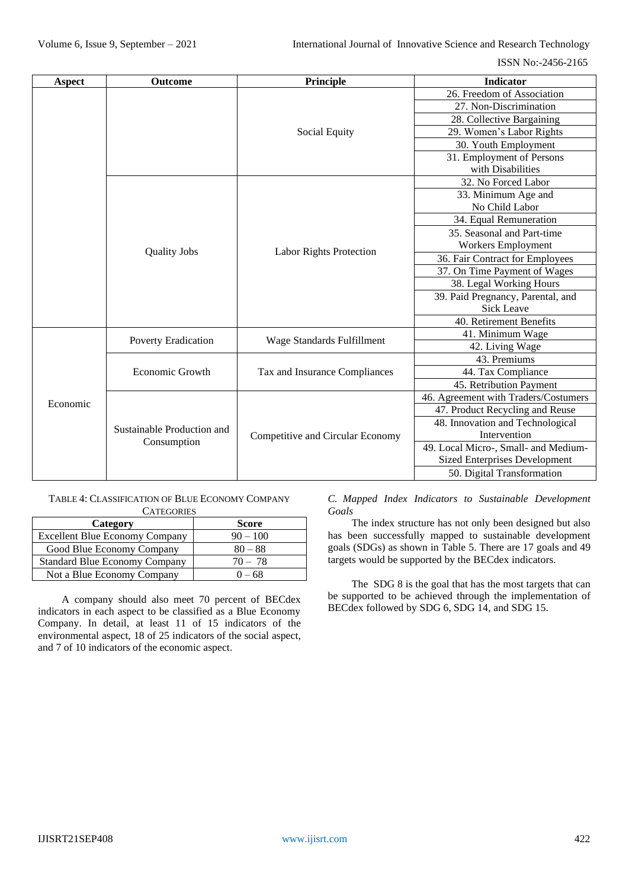| <b>Aspect</b> | <b>Outcome</b>                            | Principle                        | <b>Indicator</b>                     |  |
|---------------|-------------------------------------------|----------------------------------|--------------------------------------|--|
|               |                                           |                                  | 26. Freedom of Association           |  |
|               |                                           |                                  | 27. Non-Discrimination               |  |
|               |                                           |                                  | 28. Collective Bargaining            |  |
|               |                                           | Social Equity                    | 29. Women's Labor Rights             |  |
|               |                                           |                                  | 30. Youth Employment                 |  |
|               |                                           |                                  | 31. Employment of Persons            |  |
|               |                                           |                                  | with Disabilities                    |  |
|               |                                           |                                  | 32. No Forced Labor                  |  |
|               |                                           |                                  | 33. Minimum Age and                  |  |
|               |                                           |                                  | No Child Labor                       |  |
|               |                                           |                                  | 34. Equal Remuneration               |  |
|               |                                           |                                  | 35. Seasonal and Part-time           |  |
|               | <b>Quality Jobs</b>                       | <b>Labor Rights Protection</b>   | Workers Employment                   |  |
|               |                                           |                                  | 36. Fair Contract for Employees      |  |
|               |                                           |                                  | 37. On Time Payment of Wages         |  |
|               |                                           |                                  | 38. Legal Working Hours              |  |
|               |                                           |                                  | 39. Paid Pregnancy, Parental, and    |  |
|               |                                           |                                  | <b>Sick Leave</b>                    |  |
|               |                                           |                                  | 40. Retirement Benefits              |  |
|               | Poverty Eradication                       | Wage Standards Fulfillment       | 41. Minimum Wage                     |  |
|               |                                           |                                  | 42. Living Wage                      |  |
|               | Economic Growth                           | Tax and Insurance Compliances    | 43. Premiums                         |  |
|               |                                           |                                  | 44. Tax Compliance                   |  |
|               |                                           |                                  | 45. Retribution Payment              |  |
| Economic      |                                           | Competitive and Circular Economy | 46. Agreement with Traders/Costumers |  |
|               | Sustainable Production and<br>Consumption |                                  | 47. Product Recycling and Reuse      |  |
|               |                                           |                                  | 48. Innovation and Technological     |  |
|               |                                           |                                  | Intervention                         |  |
|               |                                           |                                  | 49. Local Micro-, Small- and Medium- |  |
|               |                                           |                                  | <b>Sized Enterprises Development</b> |  |
|               |                                           |                                  | 50. Digital Transformation           |  |

#### TABLE 4: CLASSIFICATION OF BLUE ECONOMY COMPANY **CATEGORIES**

| Category                              | <b>Score</b> |
|---------------------------------------|--------------|
| <b>Excellent Blue Economy Company</b> | $90 - 100$   |
| Good Blue Economy Company             | $80 - 88$    |
| <b>Standard Blue Economy Company</b>  | $70 - 78$    |
| Not a Blue Economy Company            | $0 - 68$     |

A company should also meet 70 percent of BECdex indicators in each aspect to be classified as a Blue Economy Company. In detail, at least 11 of 15 indicators of the environmental aspect, 18 of 25 indicators of the social aspect, and 7 of 10 indicators of the economic aspect.

*C. Mapped Index Indicators to Sustainable Development Goals*

The index structure has not only been designed but also has been successfully mapped to sustainable development goals (SDGs) as shown in Table 5. There are 17 goals and 49 targets would be supported by the BECdex indicators.

The SDG 8 is the goal that has the most targets that can be supported to be achieved through the implementation of BECdex followed by SDG 6, SDG 14, and SDG 15.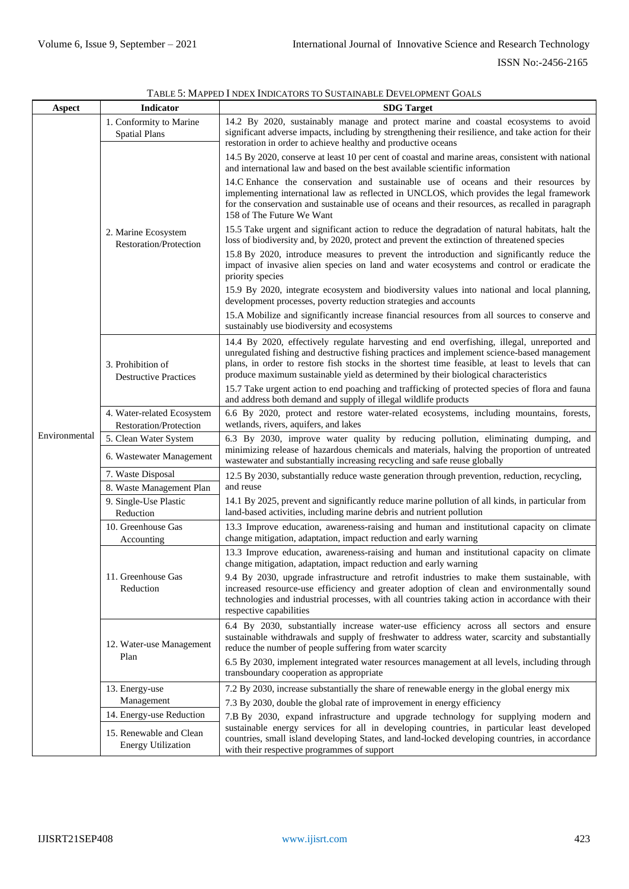| Aspect        | <b>Indicator</b>                                                                 | <b>SDG</b> Target                                                                                                                                                                                                                                                                                                                                                                      |
|---------------|----------------------------------------------------------------------------------|----------------------------------------------------------------------------------------------------------------------------------------------------------------------------------------------------------------------------------------------------------------------------------------------------------------------------------------------------------------------------------------|
|               | 1. Conformity to Marine<br><b>Spatial Plans</b>                                  | 14.2 By 2020, sustainably manage and protect marine and coastal ecosystems to avoid<br>significant adverse impacts, including by strengthening their resilience, and take action for their<br>restoration in order to achieve healthy and productive oceans                                                                                                                            |
|               |                                                                                  | 14.5 By 2020, conserve at least 10 per cent of coastal and marine areas, consistent with national<br>and international law and based on the best available scientific information                                                                                                                                                                                                      |
|               |                                                                                  | 14.C Enhance the conservation and sustainable use of oceans and their resources by<br>implementing international law as reflected in UNCLOS, which provides the legal framework<br>for the conservation and sustainable use of oceans and their resources, as recalled in paragraph<br>158 of The Future We Want                                                                       |
|               | 2. Marine Ecosystem<br>Restoration/Protection                                    | 15.5 Take urgent and significant action to reduce the degradation of natural habitats, halt the<br>loss of biodiversity and, by 2020, protect and prevent the extinction of threatened species                                                                                                                                                                                         |
|               |                                                                                  | 15.8 By 2020, introduce measures to prevent the introduction and significantly reduce the<br>impact of invasive alien species on land and water ecosystems and control or eradicate the<br>priority species                                                                                                                                                                            |
|               |                                                                                  | 15.9 By 2020, integrate ecosystem and biodiversity values into national and local planning,<br>development processes, poverty reduction strategies and accounts                                                                                                                                                                                                                        |
|               |                                                                                  | 15.A Mobilize and significantly increase financial resources from all sources to conserve and<br>sustainably use biodiversity and ecosystems                                                                                                                                                                                                                                           |
|               | 3. Prohibition of<br><b>Destructive Practices</b>                                | 14.4 By 2020, effectively regulate harvesting and end overfishing, illegal, unreported and<br>unregulated fishing and destructive fishing practices and implement science-based management<br>plans, in order to restore fish stocks in the shortest time feasible, at least to levels that can<br>produce maximum sustainable yield as determined by their biological characteristics |
|               |                                                                                  | 15.7 Take urgent action to end poaching and trafficking of protected species of flora and fauna<br>and address both demand and supply of illegal wildlife products                                                                                                                                                                                                                     |
|               | 4. Water-related Ecosystem<br><b>Restoration/Protection</b>                      | 6.6 By 2020, protect and restore water-related ecosystems, including mountains, forests,<br>wetlands, rivers, aquifers, and lakes                                                                                                                                                                                                                                                      |
| Environmental | 5. Clean Water System                                                            | 6.3 By 2030, improve water quality by reducing pollution, eliminating dumping, and                                                                                                                                                                                                                                                                                                     |
|               | 6. Wastewater Management                                                         | minimizing release of hazardous chemicals and materials, halving the proportion of untreated<br>wastewater and substantially increasing recycling and safe reuse globally                                                                                                                                                                                                              |
|               | 7. Waste Disposal                                                                | 12.5 By 2030, substantially reduce waste generation through prevention, reduction, recycling,                                                                                                                                                                                                                                                                                          |
|               | 8. Waste Management Plan                                                         | and reuse                                                                                                                                                                                                                                                                                                                                                                              |
|               | 9. Single-Use Plastic<br>Reduction                                               | 14.1 By 2025, prevent and significantly reduce marine pollution of all kinds, in particular from<br>land-based activities, including marine debris and nutrient pollution                                                                                                                                                                                                              |
|               | 10. Greenhouse Gas<br>Accounting                                                 | 13.3 Improve education, awareness-raising and human and institutional capacity on climate<br>change mitigation, adaptation, impact reduction and early warning                                                                                                                                                                                                                         |
|               |                                                                                  | 13.3 Improve education, awareness-raising and human and institutional capacity on climate<br>change mitigation, adaptation, impact reduction and early warning                                                                                                                                                                                                                         |
|               | 11. Greenhouse Gas<br>Reduction                                                  | 9.4 By 2030, upgrade infrastructure and retrofit industries to make them sustainable, with<br>increased resource-use efficiency and greater adoption of clean and environmentally sound<br>technologies and industrial processes, with all countries taking action in accordance with their<br>respective capabilities                                                                 |
|               | 12. Water-use Management<br>Plan                                                 | 6.4 By 2030, substantially increase water-use efficiency across all sectors and ensure<br>sustainable withdrawals and supply of freshwater to address water, scarcity and substantially<br>reduce the number of people suffering from water scarcity                                                                                                                                   |
|               |                                                                                  | 6.5 By 2030, implement integrated water resources management at all levels, including through<br>transboundary cooperation as appropriate                                                                                                                                                                                                                                              |
|               | 13. Energy-use                                                                   | 7.2 By 2030, increase substantially the share of renewable energy in the global energy mix                                                                                                                                                                                                                                                                                             |
|               | Management                                                                       | 7.3 By 2030, double the global rate of improvement in energy efficiency                                                                                                                                                                                                                                                                                                                |
|               | 14. Energy-use Reduction<br>15. Renewable and Clean<br><b>Energy Utilization</b> | 7.B By 2030, expand infrastructure and upgrade technology for supplying modern and<br>sustainable energy services for all in developing countries, in particular least developed<br>countries, small island developing States, and land-locked developing countries, in accordance                                                                                                     |
|               |                                                                                  | with their respective programmes of support                                                                                                                                                                                                                                                                                                                                            |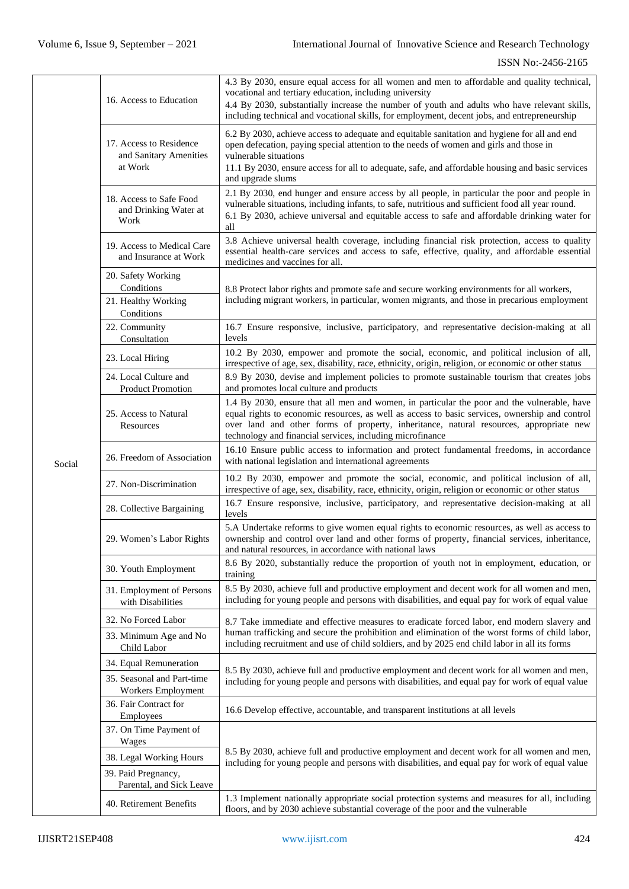|        |                                                              | 4.3 By 2030, ensure equal access for all women and men to affordable and quality technical,                                                                                                                                                                                                                                                          |  |
|--------|--------------------------------------------------------------|------------------------------------------------------------------------------------------------------------------------------------------------------------------------------------------------------------------------------------------------------------------------------------------------------------------------------------------------------|--|
|        | 16. Access to Education                                      | vocational and tertiary education, including university<br>4.4 By 2030, substantially increase the number of youth and adults who have relevant skills,<br>including technical and vocational skills, for employment, decent jobs, and entrepreneurship                                                                                              |  |
|        | 17. Access to Residence<br>and Sanitary Amenities<br>at Work | 6.2 By 2030, achieve access to adequate and equitable sanitation and hygiene for all and end<br>open defecation, paying special attention to the needs of women and girls and those in<br>vulnerable situations<br>11.1 By 2030, ensure access for all to adequate, safe, and affordable housing and basic services<br>and upgrade slums             |  |
|        | 18. Access to Safe Food<br>and Drinking Water at<br>Work     | 2.1 By 2030, end hunger and ensure access by all people, in particular the poor and people in<br>vulnerable situations, including infants, to safe, nutritious and sufficient food all year round.<br>6.1 By 2030, achieve universal and equitable access to safe and affordable drinking water for<br>all                                           |  |
|        | 19. Access to Medical Care<br>and Insurance at Work          | 3.8 Achieve universal health coverage, including financial risk protection, access to quality<br>essential health-care services and access to safe, effective, quality, and affordable essential<br>medicines and vaccines for all.                                                                                                                  |  |
|        | 20. Safety Working<br>Conditions                             | 8.8 Protect labor rights and promote safe and secure working environments for all workers,                                                                                                                                                                                                                                                           |  |
|        | 21. Healthy Working<br>Conditions                            | including migrant workers, in particular, women migrants, and those in precarious employment                                                                                                                                                                                                                                                         |  |
|        | 22. Community<br>Consultation                                | 16.7 Ensure responsive, inclusive, participatory, and representative decision-making at all<br>levels                                                                                                                                                                                                                                                |  |
|        | 23. Local Hiring                                             | 10.2 By 2030, empower and promote the social, economic, and political inclusion of all,<br>irrespective of age, sex, disability, race, ethnicity, origin, religion, or economic or other status                                                                                                                                                      |  |
|        | 24. Local Culture and<br><b>Product Promotion</b>            | 8.9 By 2030, devise and implement policies to promote sustainable tourism that creates jobs<br>and promotes local culture and products                                                                                                                                                                                                               |  |
|        | 25. Access to Natural<br>Resources                           | 1.4 By 2030, ensure that all men and women, in particular the poor and the vulnerable, have<br>equal rights to economic resources, as well as access to basic services, ownership and control<br>over land and other forms of property, inheritance, natural resources, appropriate new<br>technology and financial services, including microfinance |  |
| Social | 26. Freedom of Association                                   | 16.10 Ensure public access to information and protect fundamental freedoms, in accordance<br>with national legislation and international agreements                                                                                                                                                                                                  |  |
|        | 27. Non-Discrimination                                       | 10.2 By 2030, empower and promote the social, economic, and political inclusion of all,<br>irrespective of age, sex, disability, race, ethnicity, origin, religion or economic or other status                                                                                                                                                       |  |
|        | 28. Collective Bargaining                                    | 16.7 Ensure responsive, inclusive, participatory, and representative decision-making at all<br>levels                                                                                                                                                                                                                                                |  |
|        | 29. Women's Labor Rights                                     | 5.A Undertake reforms to give women equal rights to economic resources, as well as access to<br>ownership and control over land and other forms of property, financial services, inheritance,<br>and natural resources, in accordance with national laws                                                                                             |  |
|        | 30. Youth Employment                                         | 8.6 By 2020, substantially reduce the proportion of youth not in employment, education, or<br>training                                                                                                                                                                                                                                               |  |
|        | 31. Employment of Persons<br>with Disabilities               | 8.5 By 2030, achieve full and productive employment and decent work for all women and men,<br>including for young people and persons with disabilities, and equal pay for work of equal value                                                                                                                                                        |  |
|        | 32. No Forced Labor                                          | 8.7 Take immediate and effective measures to eradicate forced labor, end modern slavery and                                                                                                                                                                                                                                                          |  |
|        | 33. Minimum Age and No<br>Child Labor                        | human trafficking and secure the prohibition and elimination of the worst forms of child labor,<br>including recruitment and use of child soldiers, and by 2025 end child labor in all its forms                                                                                                                                                     |  |
|        | 34. Equal Remuneration                                       | 8.5 By 2030, achieve full and productive employment and decent work for all women and men,                                                                                                                                                                                                                                                           |  |
|        | 35. Seasonal and Part-time<br>Workers Employment             | including for young people and persons with disabilities, and equal pay for work of equal value                                                                                                                                                                                                                                                      |  |
|        | 36. Fair Contract for<br>Employees                           | 16.6 Develop effective, accountable, and transparent institutions at all levels                                                                                                                                                                                                                                                                      |  |
|        | 37. On Time Payment of<br>Wages                              |                                                                                                                                                                                                                                                                                                                                                      |  |
|        | 38. Legal Working Hours                                      | 8.5 By 2030, achieve full and productive employment and decent work for all women and men,<br>including for young people and persons with disabilities, and equal pay for work of equal value                                                                                                                                                        |  |
|        | 39. Paid Pregnancy,<br>Parental, and Sick Leave              |                                                                                                                                                                                                                                                                                                                                                      |  |
|        | 40. Retirement Benefits                                      | 1.3 Implement nationally appropriate social protection systems and measures for all, including<br>floors, and by 2030 achieve substantial coverage of the poor and the vulnerable                                                                                                                                                                    |  |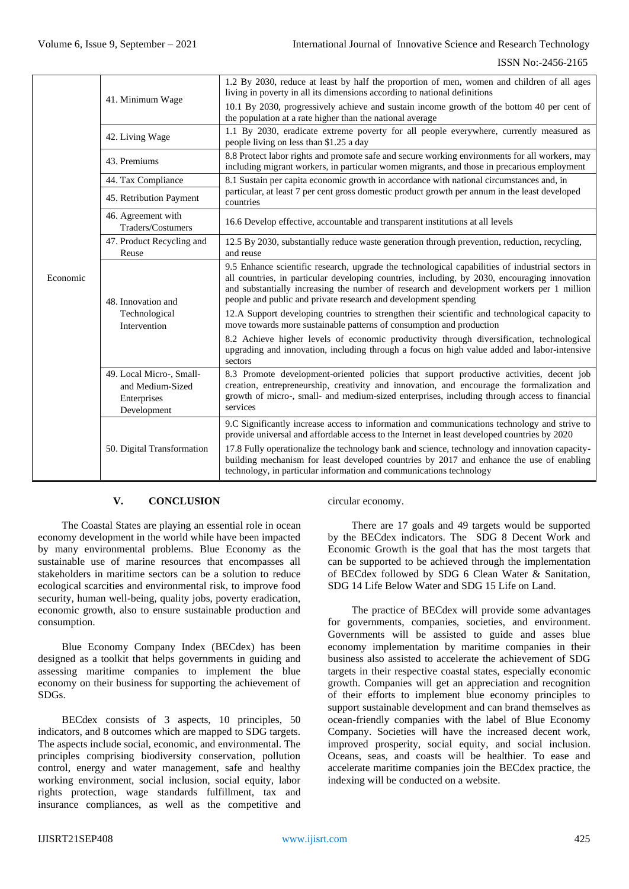|          | 41. Minimum Wage                                                           | 1.2 By 2030, reduce at least by half the proportion of men, women and children of all ages<br>living in poverty in all its dimensions according to national definitions                                                                                                                                                                                           |
|----------|----------------------------------------------------------------------------|-------------------------------------------------------------------------------------------------------------------------------------------------------------------------------------------------------------------------------------------------------------------------------------------------------------------------------------------------------------------|
|          |                                                                            | 10.1 By 2030, progressively achieve and sustain income growth of the bottom 40 per cent of<br>the population at a rate higher than the national average                                                                                                                                                                                                           |
|          | 42. Living Wage                                                            | 1.1 By 2030, eradicate extreme poverty for all people everywhere, currently measured as<br>people living on less than \$1.25 a day                                                                                                                                                                                                                                |
|          | 43. Premiums                                                               | 8.8 Protect labor rights and promote safe and secure working environments for all workers, may<br>including migrant workers, in particular women migrants, and those in precarious employment                                                                                                                                                                     |
|          | 44. Tax Compliance                                                         | 8.1 Sustain per capita economic growth in accordance with national circumstances and, in                                                                                                                                                                                                                                                                          |
|          | 45. Retribution Payment                                                    | particular, at least 7 per cent gross domestic product growth per annum in the least developed<br>countries                                                                                                                                                                                                                                                       |
|          | 46. Agreement with<br>Traders/Costumers                                    | 16.6 Develop effective, accountable and transparent institutions at all levels                                                                                                                                                                                                                                                                                    |
|          | 47. Product Recycling and<br>Reuse                                         | 12.5 By 2030, substantially reduce waste generation through prevention, reduction, recycling,<br>and reuse                                                                                                                                                                                                                                                        |
| Economic | 48. Innovation and                                                         | 9.5 Enhance scientific research, upgrade the technological capabilities of industrial sectors in<br>all countries, in particular developing countries, including, by 2030, encouraging innovation<br>and substantially increasing the number of research and development workers per 1 million<br>people and public and private research and development spending |
|          | Technological<br>Intervention                                              | 12.A Support developing countries to strengthen their scientific and technological capacity to<br>move towards more sustainable patterns of consumption and production                                                                                                                                                                                            |
|          |                                                                            | 8.2 Achieve higher levels of economic productivity through diversification, technological<br>upgrading and innovation, including through a focus on high value added and labor-intensive<br>sectors                                                                                                                                                               |
|          | 49. Local Micro-, Small-<br>and Medium-Sized<br>Enterprises<br>Development | 8.3 Promote development-oriented policies that support productive activities, decent job<br>creation, entrepreneurship, creativity and innovation, and encourage the formalization and<br>growth of micro-, small- and medium-sized enterprises, including through access to financial<br>services                                                                |
|          |                                                                            | 9.C Significantly increase access to information and communications technology and strive to<br>provide universal and affordable access to the Internet in least developed countries by 2020                                                                                                                                                                      |
|          | 50. Digital Transformation                                                 | 17.8 Fully operationalize the technology bank and science, technology and innovation capacity-<br>building mechanism for least developed countries by 2017 and enhance the use of enabling<br>technology, in particular information and communications technology                                                                                                 |

# **V. CONCLUSION**

The Coastal States are playing an essential role in ocean economy development in the world while have been impacted by many environmental problems. Blue Economy as the sustainable use of marine resources that encompasses all stakeholders in maritime sectors can be a solution to reduce ecological scarcities and environmental risk, to improve food security, human well-being, quality jobs, poverty eradication, economic growth, also to ensure sustainable production and consumption.

Blue Economy Company Index (BECdex) has been designed as a toolkit that helps governments in guiding and assessing maritime companies to implement the blue economy on their business for supporting the achievement of SDGs.

BECdex consists of 3 aspects, 10 principles, 50 indicators, and 8 outcomes which are mapped to SDG targets. The aspects include social, economic, and environmental. The principles comprising biodiversity conservation, pollution control, energy and water management, safe and healthy working environment, social inclusion, social equity, labor rights protection, wage standards fulfillment, tax and insurance compliances, as well as the competitive and circular economy.

There are 17 goals and 49 targets would be supported by the BECdex indicators. The SDG 8 Decent Work and Economic Growth is the goal that has the most targets that can be supported to be achieved through the implementation of BECdex followed by SDG 6 Clean Water & Sanitation, SDG 14 Life Below Water and SDG 15 Life on Land.

The practice of BECdex will provide some advantages for governments, companies, societies, and environment. Governments will be assisted to guide and asses blue economy implementation by maritime companies in their business also assisted to accelerate the achievement of SDG targets in their respective coastal states, especially economic growth. Companies will get an appreciation and recognition of their efforts to implement blue economy principles to support sustainable development and can brand themselves as ocean-friendly companies with the label of Blue Economy Company. Societies will have the increased decent work, improved prosperity, social equity, and social inclusion. Oceans, seas, and coasts will be healthier. To ease and accelerate maritime companies join the BECdex practice, the indexing will be conducted on a website.